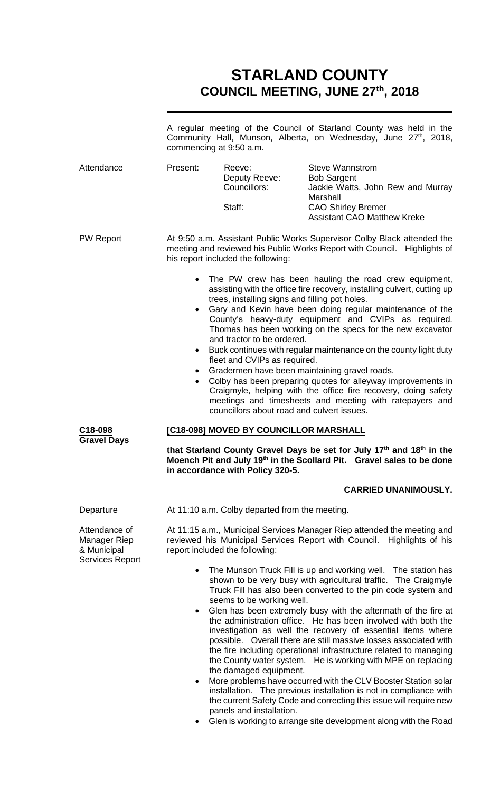# **STARLAND COUNTY COUNCIL MEETING, JUNE 27th, 2018**

|                                                                        |                                                                                                                                                                                                                              | commencing at 9:50 a.m.                                                                                                                                    | A regular meeting of the Council of Starland County was held in the<br>Community Hall, Munson, Alberta, on Wednesday, June 27 <sup>th</sup> , 2018,                                                                                                                                                                                                                                                                                                                                                                                                                                                                                     |
|------------------------------------------------------------------------|------------------------------------------------------------------------------------------------------------------------------------------------------------------------------------------------------------------------------|------------------------------------------------------------------------------------------------------------------------------------------------------------|-----------------------------------------------------------------------------------------------------------------------------------------------------------------------------------------------------------------------------------------------------------------------------------------------------------------------------------------------------------------------------------------------------------------------------------------------------------------------------------------------------------------------------------------------------------------------------------------------------------------------------------------|
| Attendance                                                             | Present:                                                                                                                                                                                                                     | Reeve:<br>Deputy Reeve:<br>Councillors:<br>Staff:                                                                                                          | <b>Steve Wannstrom</b><br><b>Bob Sargent</b><br>Jackie Watts, John Rew and Murray<br>Marshall<br><b>CAO Shirley Bremer</b><br><b>Assistant CAO Matthew Kreke</b>                                                                                                                                                                                                                                                                                                                                                                                                                                                                        |
| <b>PW Report</b>                                                       |                                                                                                                                                                                                                              | his report included the following:                                                                                                                         | At 9:50 a.m. Assistant Public Works Supervisor Colby Black attended the<br>meeting and reviewed his Public Works Report with Council. Highlights of                                                                                                                                                                                                                                                                                                                                                                                                                                                                                     |
|                                                                        | $\bullet$<br>$\bullet$<br>$\bullet$<br>$\bullet$                                                                                                                                                                             | trees, installing signs and filling pot holes.<br>and tractor to be ordered.<br>fleet and CVIPs as required.<br>councillors about road and culvert issues. | • The PW crew has been hauling the road crew equipment,<br>assisting with the office fire recovery, installing culvert, cutting up<br>Gary and Kevin have been doing regular maintenance of the<br>County's heavy-duty equipment and CVIPs as required.<br>Thomas has been working on the specs for the new excavator<br>Buck continues with regular maintenance on the county light duty<br>Gradermen have been maintaining gravel roads.<br>Colby has been preparing quotes for alleyway improvements in<br>Craigmyle, helping with the office fire recovery, doing safety<br>meetings and timesheets and meeting with ratepayers and |
| C18-098<br><b>Gravel Days</b>                                          | [C18-098] MOVED BY COUNCILLOR MARSHALL<br>that Starland County Gravel Days be set for July 17th and 18th in the<br>Moench Pit and July 19th in the Scollard Pit. Gravel sales to be done<br>in accordance with Policy 320-5. |                                                                                                                                                            |                                                                                                                                                                                                                                                                                                                                                                                                                                                                                                                                                                                                                                         |
|                                                                        |                                                                                                                                                                                                                              |                                                                                                                                                            | <b>CARRIED UNANIMOUSLY.</b>                                                                                                                                                                                                                                                                                                                                                                                                                                                                                                                                                                                                             |
| Departure                                                              |                                                                                                                                                                                                                              | At 11:10 a.m. Colby departed from the meeting.                                                                                                             |                                                                                                                                                                                                                                                                                                                                                                                                                                                                                                                                                                                                                                         |
| Attendance of<br>Manager Riep<br>& Municipal<br><b>Services Report</b> |                                                                                                                                                                                                                              | reviewed his Municipal Services Report with Council.<br>report included the following:                                                                     | At 11:15 a.m., Municipal Services Manager Riep attended the meeting and<br>Highlights of his                                                                                                                                                                                                                                                                                                                                                                                                                                                                                                                                            |
|                                                                        | $\bullet$                                                                                                                                                                                                                    | seems to be working well.                                                                                                                                  | The Munson Truck Fill is up and working well. The station has<br>shown to be very busy with agricultural traffic. The Craigmyle<br>Truck Fill has also been converted to the pin code system and                                                                                                                                                                                                                                                                                                                                                                                                                                        |

Glen is working to arrange site development along with the Road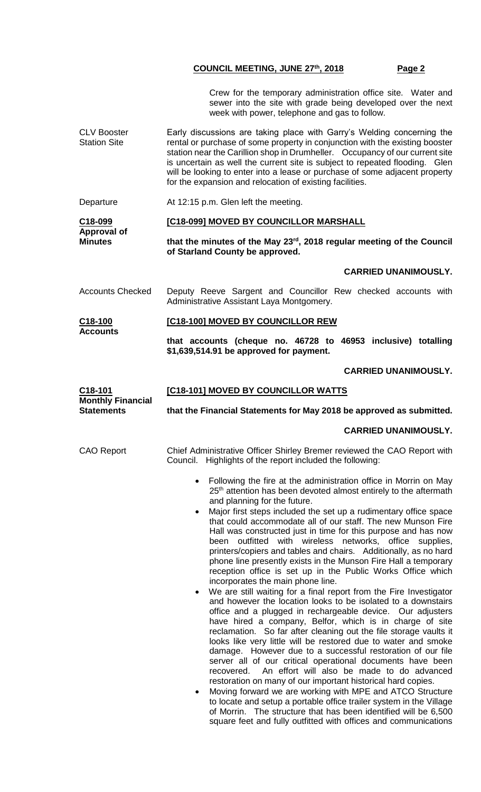Crew for the temporary administration office site. Water and sewer into the site with grade being developed over the next week with power, telephone and gas to follow.

CLV Booster Station Site Early discussions are taking place with Garry's Welding concerning the rental or purchase of some property in conjunction with the existing booster station near the Carillion shop in Drumheller. Occupancy of our current site is uncertain as well the current site is subject to repeated flooding. Glen will be looking to enter into a lease or purchase of some adjacent property for the expansion and relocation of existing facilities.

Departure At 12:15 p.m. Glen left the meeting.

| C18-099                       | <b>[C18-099] MOVED BY COUNCILLOR MARSHALL</b>                         |
|-------------------------------|-----------------------------------------------------------------------|
| Approval of<br><b>Minutes</b> | that the minutes of the May 23rd, 2018 regular meeting of the Council |
|                               | of Starland County be approved.                                       |

### **CARRIED UNANIMOUSLY.**

Accounts Checked Deputy Reeve Sargent and Councillor Rew checked accounts with Administrative Assistant Laya Montgomery.

| C18-100         | [C18-100] MOVED BY COUNCILLOR REW |  |
|-----------------|-----------------------------------|--|
| <b>Accounts</b> |                                   |  |

**that accounts (cheque no. 46728 to 46953 inclusive) totalling \$1,639,514.91 be approved for payment.**

# **CARRIED UNANIMOUSLY.**

| C18-101                                       | [C18-101] MOVED BY COUNCILLOR WATTS                                                                                                                                                                                                                                                                                                                                                                                                                                                                                                                                                                                                                                                                                                                                                                                                                                                                                                                                                                                                                                                                                                                                                                                                                                                                                                                                                                                                                                                                                                                                                                                                        |
|-----------------------------------------------|--------------------------------------------------------------------------------------------------------------------------------------------------------------------------------------------------------------------------------------------------------------------------------------------------------------------------------------------------------------------------------------------------------------------------------------------------------------------------------------------------------------------------------------------------------------------------------------------------------------------------------------------------------------------------------------------------------------------------------------------------------------------------------------------------------------------------------------------------------------------------------------------------------------------------------------------------------------------------------------------------------------------------------------------------------------------------------------------------------------------------------------------------------------------------------------------------------------------------------------------------------------------------------------------------------------------------------------------------------------------------------------------------------------------------------------------------------------------------------------------------------------------------------------------------------------------------------------------------------------------------------------------|
| <b>Monthly Financial</b><br><b>Statements</b> | that the Financial Statements for May 2018 be approved as submitted.                                                                                                                                                                                                                                                                                                                                                                                                                                                                                                                                                                                                                                                                                                                                                                                                                                                                                                                                                                                                                                                                                                                                                                                                                                                                                                                                                                                                                                                                                                                                                                       |
|                                               | <b>CARRIED UNANIMOUSLY.</b>                                                                                                                                                                                                                                                                                                                                                                                                                                                                                                                                                                                                                                                                                                                                                                                                                                                                                                                                                                                                                                                                                                                                                                                                                                                                                                                                                                                                                                                                                                                                                                                                                |
| CAO Report                                    | Chief Administrative Officer Shirley Bremer reviewed the CAO Report with<br>Council. Highlights of the report included the following:                                                                                                                                                                                                                                                                                                                                                                                                                                                                                                                                                                                                                                                                                                                                                                                                                                                                                                                                                                                                                                                                                                                                                                                                                                                                                                                                                                                                                                                                                                      |
|                                               | Following the fire at the administration office in Morrin on May<br>25 <sup>th</sup> attention has been devoted almost entirely to the aftermath<br>and planning for the future.<br>Major first steps included the set up a rudimentary office space<br>that could accommodate all of our staff. The new Munson Fire<br>Hall was constructed just in time for this purpose and has now<br>outfitted with wireless networks, office<br>been<br>supplies,<br>printers/copiers and tables and chairs. Additionally, as no hard<br>phone line presently exists in the Munson Fire Hall a temporary<br>reception office is set up in the Public Works Office which<br>incorporates the main phone line.<br>We are still waiting for a final report from the Fire Investigator<br>and however the location looks to be isolated to a downstairs<br>office and a plugged in rechargeable device. Our adjusters<br>have hired a company, Belfor, which is in charge of site<br>reclamation. So far after cleaning out the file storage vaults it<br>looks like very little will be restored due to water and smoke<br>damage. However due to a successful restoration of our file<br>server all of our critical operational documents have been<br>recovered. An effort will also be made to do advanced<br>restoration on many of our important historical hard copies.<br>Moving forward we are working with MPE and ATCO Structure<br>to locate and setup a portable office trailer system in the Village<br>of Morrin. The structure that has been identified will be 6,500<br>square feet and fully outfitted with offices and communications |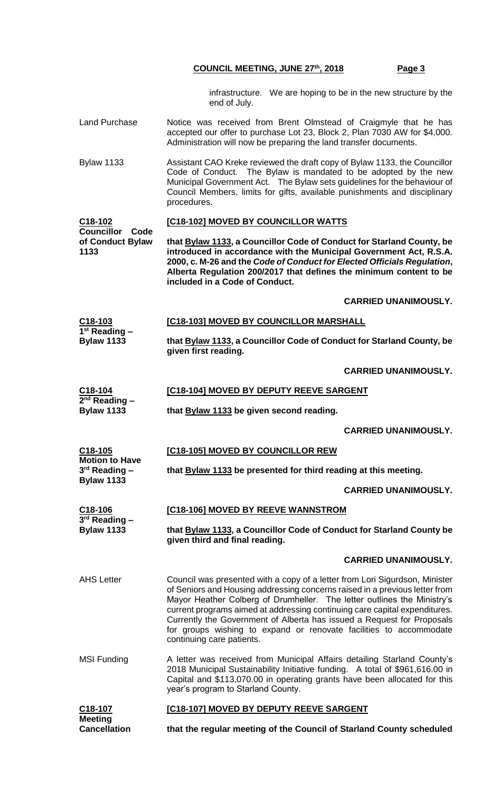infrastructure. We are hoping to be in the new structure by the end of July.

- Land Purchase Notice was received from Brent Olmstead of Craigmyle that he has accepted our offer to purchase Lot 23, Block 2, Plan 7030 AW for \$4,000. Administration will now be preparing the land transfer documents.
- Bylaw 1133 Assistant CAO Kreke reviewed the draft copy of Bylaw 1133, the Councillor Code of Conduct. The Bylaw is mandated to be adopted by the new Municipal Government Act. The Bylaw sets guidelines for the behaviour of Council Members, limits for gifts, available punishments and disciplinary procedures.

#### **C18-102 Councillor Code [C18-102] MOVED BY COUNCILLOR WATTS**

**of Conduct Bylaw 1133 that Bylaw 1133, a Councillor Code of Conduct for Starland County, be introduced in accordance with the Municipal Government Act, R.S.A. 2000, c. M-26 and the** *Code of Conduct for Elected Officials Regulation***, Alberta Regulation 200/2017 that defines the minimum content to be included in a Code of Conduct.** 

# **CARRIED UNANIMOUSLY.**

| C18-103                   | [C18-103] MOVED BY COUNCILLOR MARSHALL                                |
|---------------------------|-----------------------------------------------------------------------|
| 1 <sup>st</sup> Reading – |                                                                       |
| <b>Bylaw 1133</b>         | that Bylaw 1133, a Councillor Code of Conduct for Starland County, be |
|                           | given first reading.                                                  |

### **CARRIED UNANIMOUSLY.**

**C18-104 [C18-104] MOVED BY DEPUTY REEVE SARGENT**

**2 nd Reading – Bylaw 1133**

**Motion to Have 3 rd Reading – Bylaw 1133**

**3 rd Reading – Bylaw 1133**

**C18-105**

**that Bylaw 1133 be given second reading.**

#### **CARRIED UNANIMOUSLY.**

# **[C18-105] MOVED BY COUNCILLOR REW**

**that Bylaw 1133 be presented for third reading at this meeting.**

#### **CARRIED UNANIMOUSLY.**

| <b>[C18-106] MOVED BY REEVE WANNSTROM</b><br>C18-106 |
|------------------------------------------------------|
|------------------------------------------------------|

**that Bylaw 1133, a Councillor Code of Conduct for Starland County be given third and final reading.**

#### **CARRIED UNANIMOUSLY.**

- AHS Letter **Council was presented with a copy of a letter from Lori Sigurdson, Minister** of Seniors and Housing addressing concerns raised in a previous letter from Mayor Heather Colberg of Drumheller. The letter outlines the Ministry's current programs aimed at addressing continuing care capital expenditures. Currently the Government of Alberta has issued a Request for Proposals for groups wishing to expand or renovate facilities to accommodate continuing care patients.
- MSI Funding **A letter was received from Municipal Affairs detailing Starland County's** 2018 Municipal Sustainability Initiative funding. A total of \$961,616.00 in Capital and \$113,070.00 in operating grants have been allocated for this year's program to Starland County.

| C18-107             | <b>[C18-107] MOVED BY DEPUTY REEVE SARGENT</b>                       |
|---------------------|----------------------------------------------------------------------|
| <b>Meeting</b>      |                                                                      |
| <b>Cancellation</b> | that the regular meeting of the Council of Starland County scheduled |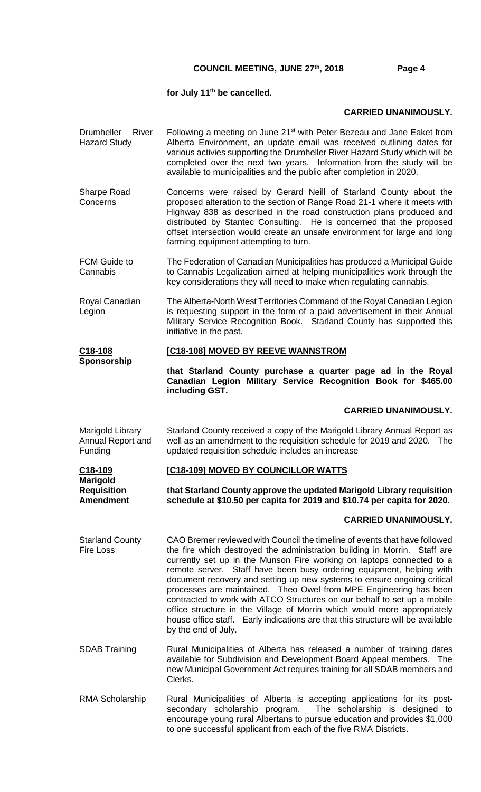#### **for July 11th be cancelled.**

## **CARRIED UNANIMOUSLY.**

- Drumheller River Hazard Study Following a meeting on June 21<sup>st</sup> with Peter Bezeau and Jane Eaket from Alberta Environment, an update email was received outlining dates for various activies supporting the Drumheller River Hazard Study which will be completed over the next two years. Information from the study will be available to municipalities and the public after completion in 2020.
- Sharpe Road **Concerns** Concerns were raised by Gerard Neill of Starland County about the proposed alteration to the section of Range Road 21-1 where it meets with Highway 838 as described in the road construction plans produced and distributed by Stantec Consulting. He is concerned that the proposed offset intersection would create an unsafe environment for large and long farming equipment attempting to turn.
- FCM Guide to Cannabis The Federation of Canadian Municipalities has produced a Municipal Guide to Cannabis Legalization aimed at helping municipalities work through the key considerations they will need to make when regulating cannabis.
- Royal Canadian Legion The Alberta-North West Territories Command of the Royal Canadian Legion is requesting support in the form of a paid advertisement in their Annual Military Service Recognition Book. Starland County has supported this initiative in the past.

#### **C18-108 [C18-108] MOVED BY REEVE WANNSTROM**

**Sponsorship**

**that Starland County purchase a quarter page ad in the Royal Canadian Legion Military Service Recognition Book for \$465.00 including GST.**

#### **CARRIED UNANIMOUSLY.**

Marigold Library Annual Report and Funding Starland County received a copy of the Marigold Library Annual Report as well as an amendment to the requisition schedule for 2019 and 2020. The updated requisition schedule includes an increase

| C18-109          | <b>[C18-109] MOVED BY COUNCILLOR WATTS</b>                               |
|------------------|--------------------------------------------------------------------------|
| Marigold         |                                                                          |
| Requisition      | that Starland County approve the updated Marigold Library requisition    |
| <b>Amendment</b> | schedule at \$10.50 per capita for 2019 and \$10.74 per capita for 2020. |

#### **CARRIED UNANIMOUSLY.**

- Starland County Fire Loss CAO Bremer reviewed with Council the timeline of events that have followed the fire which destroyed the administration building in Morrin. Staff are currently set up in the Munson Fire working on laptops connected to a remote server. Staff have been busy ordering equipment, helping with document recovery and setting up new systems to ensure ongoing critical processes are maintained. Theo Owel from MPE Engineering has been contracted to work with ATCO Structures on our behalf to set up a mobile office structure in the Village of Morrin which would more appropriately house office staff. Early indications are that this structure will be available by the end of July.
- SDAB Training **Rural Municipalities of Alberta has released a number of training dates** available for Subdivision and Development Board Appeal members. The new Municipal Government Act requires training for all SDAB members and Clerks.
- RMA Scholarship Rural Municipalities of Alberta is accepting applications for its postsecondary scholarship program. The scholarship is designed to encourage young rural Albertans to pursue education and provides \$1,000 to one successful applicant from each of the five RMA Districts.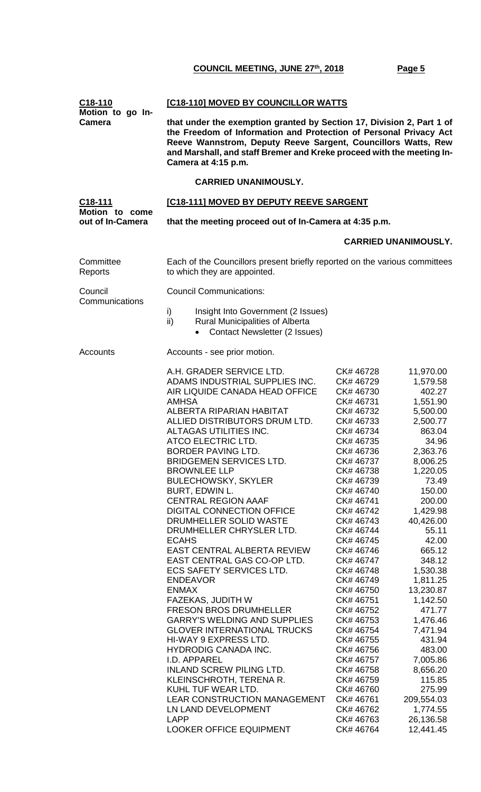| [C18-110] MOVED BY COUNCILLOR WATTS<br>Motion to go In-<br>that under the exemption granted by Section 17, Division 2, Part 1 of<br>the Freedom of Information and Protection of Personal Privacy Act<br>Reeve Wannstrom, Deputy Reeve Sargent, Councillors Watts, Rew<br>and Marshall, and staff Bremer and Kreke proceed with the meeting In-<br>Camera at 4:15 p.m.                                                                                                                                                                                                                                                                                                                                                                                                                                                                                                                                                                                              |                                                                                                                                                                                                                                                                                                                                                                                                                                                        |                                                                                                                                                                                                                                                                                                                                                                                                     |  |
|---------------------------------------------------------------------------------------------------------------------------------------------------------------------------------------------------------------------------------------------------------------------------------------------------------------------------------------------------------------------------------------------------------------------------------------------------------------------------------------------------------------------------------------------------------------------------------------------------------------------------------------------------------------------------------------------------------------------------------------------------------------------------------------------------------------------------------------------------------------------------------------------------------------------------------------------------------------------|--------------------------------------------------------------------------------------------------------------------------------------------------------------------------------------------------------------------------------------------------------------------------------------------------------------------------------------------------------------------------------------------------------------------------------------------------------|-----------------------------------------------------------------------------------------------------------------------------------------------------------------------------------------------------------------------------------------------------------------------------------------------------------------------------------------------------------------------------------------------------|--|
|                                                                                                                                                                                                                                                                                                                                                                                                                                                                                                                                                                                                                                                                                                                                                                                                                                                                                                                                                                     |                                                                                                                                                                                                                                                                                                                                                                                                                                                        |                                                                                                                                                                                                                                                                                                                                                                                                     |  |
|                                                                                                                                                                                                                                                                                                                                                                                                                                                                                                                                                                                                                                                                                                                                                                                                                                                                                                                                                                     |                                                                                                                                                                                                                                                                                                                                                                                                                                                        |                                                                                                                                                                                                                                                                                                                                                                                                     |  |
| that the meeting proceed out of In-Camera at 4:35 p.m.                                                                                                                                                                                                                                                                                                                                                                                                                                                                                                                                                                                                                                                                                                                                                                                                                                                                                                              |                                                                                                                                                                                                                                                                                                                                                                                                                                                        |                                                                                                                                                                                                                                                                                                                                                                                                     |  |
|                                                                                                                                                                                                                                                                                                                                                                                                                                                                                                                                                                                                                                                                                                                                                                                                                                                                                                                                                                     |                                                                                                                                                                                                                                                                                                                                                                                                                                                        | <b>CARRIED UNANIMOUSLY.</b>                                                                                                                                                                                                                                                                                                                                                                         |  |
| Each of the Councillors present briefly reported on the various committees<br>to which they are appointed.                                                                                                                                                                                                                                                                                                                                                                                                                                                                                                                                                                                                                                                                                                                                                                                                                                                          |                                                                                                                                                                                                                                                                                                                                                                                                                                                        |                                                                                                                                                                                                                                                                                                                                                                                                     |  |
| <b>Council Communications:</b>                                                                                                                                                                                                                                                                                                                                                                                                                                                                                                                                                                                                                                                                                                                                                                                                                                                                                                                                      |                                                                                                                                                                                                                                                                                                                                                                                                                                                        |                                                                                                                                                                                                                                                                                                                                                                                                     |  |
| Insight Into Government (2 Issues)<br>i)<br>ii)<br><b>Rural Municipalities of Alberta</b><br><b>Contact Newsletter (2 Issues)</b>                                                                                                                                                                                                                                                                                                                                                                                                                                                                                                                                                                                                                                                                                                                                                                                                                                   |                                                                                                                                                                                                                                                                                                                                                                                                                                                        |                                                                                                                                                                                                                                                                                                                                                                                                     |  |
| Accounts - see prior motion.                                                                                                                                                                                                                                                                                                                                                                                                                                                                                                                                                                                                                                                                                                                                                                                                                                                                                                                                        |                                                                                                                                                                                                                                                                                                                                                                                                                                                        |                                                                                                                                                                                                                                                                                                                                                                                                     |  |
| A.H. GRADER SERVICE LTD.<br>ADAMS INDUSTRIAL SUPPLIES INC.<br>AIR LIQUIDE CANADA HEAD OFFICE<br><b>AMHSA</b><br>ALBERTA RIPARIAN HABITAT<br>ALLIED DISTRIBUTORS DRUM LTD.<br>ALTAGAS UTILITIES INC.<br>ATCO ELECTRIC LTD.<br>BORDER PAVING LTD.<br><b>BRIDGEMEN SERVICES LTD.</b><br><b>BROWNLEE LLP</b><br><b>BULECHOWSKY, SKYLER</b><br>BURT, EDWIN L.<br><b>CENTRAL REGION AAAF</b><br>DIGITAL CONNECTION OFFICE<br>DRUMHELLER SOLID WASTE<br>DRUMHELLER CHRYSLER LTD.<br><b>ECAHS</b><br>EAST CENTRAL ALBERTA REVIEW<br>EAST CENTRAL GAS CO-OP LTD.<br><b>ECS SAFETY SERVICES LTD.</b><br><b>ENDEAVOR</b><br><b>ENMAX</b><br>FAZEKAS, JUDITH W<br><b>FRESON BROS DRUMHELLER</b><br><b>GARRY'S WELDING AND SUPPLIES</b><br><b>GLOVER INTERNATIONAL TRUCKS</b><br>HI-WAY 9 EXPRESS LTD.<br><b>HYDRODIG CANADA INC.</b><br>I.D. APPAREL<br><b>INLAND SCREW PILING LTD.</b><br>KLEINSCHROTH, TERENA R.<br>KUHL TUF WEAR LTD.<br><b>LEAR CONSTRUCTION MANAGEMENT</b> | CK# 46728<br>CK# 46729<br>CK# 46730<br>CK# 46731<br>CK# 46732<br>CK# 46733<br>CK# 46734<br>CK# 46735<br>CK# 46736<br>CK# 46737<br>CK# 46738<br>CK# 46739<br>CK# 46740<br>CK# 46741<br>CK# 46742<br>CK# 46743<br>CK# 46744<br>CK# 46745<br>CK# 46746<br>CK# 46747<br>CK# 46748<br>CK# 46749<br>CK# 46750<br>CK# 46751<br>CK# 46752<br>CK# 46753<br>CK# 46754<br>CK# 46755<br>CK# 46756<br>CK# 46757<br>CK# 46758<br>CK# 46759<br>CK# 46760<br>CK# 46761 | 11,970.00<br>1,579.58<br>402.27<br>1,551.90<br>5,500.00<br>2,500.77<br>863.04<br>34.96<br>2,363.76<br>8,006.25<br>1,220.05<br>73.49<br>150.00<br>200.00<br>1,429.98<br>40,426.00<br>55.11<br>42.00<br>665.12<br>348.12<br>1,530.38<br>1,811.25<br>13,230.87<br>1,142.50<br>471.77<br>1,476.46<br>7,471.94<br>431.94<br>483.00<br>7,005.86<br>8,656.20<br>115.85<br>275.99<br>209,554.03<br>1,774.55 |  |
|                                                                                                                                                                                                                                                                                                                                                                                                                                                                                                                                                                                                                                                                                                                                                                                                                                                                                                                                                                     | LN LAND DEVELOPMENT<br><b>LAPP</b><br><b>LOOKER OFFICE EQUIPMENT</b>                                                                                                                                                                                                                                                                                                                                                                                   | [C18-111] MOVED BY DEPUTY REEVE SARGENT<br>CK# 46762<br>CK# 46763<br>CK# 46764                                                                                                                                                                                                                                                                                                                      |  |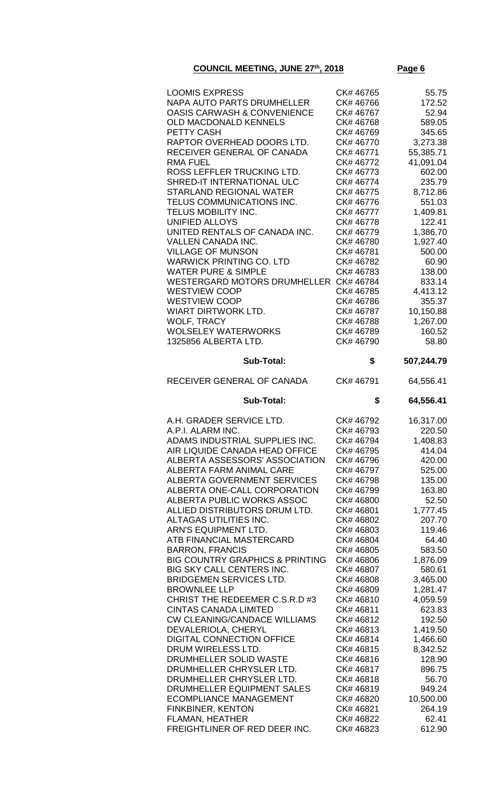|--|

| <b>LOOMIS EXPRESS</b>                                   | CK# 46765              | 55.75           |
|---------------------------------------------------------|------------------------|-----------------|
|                                                         |                        |                 |
| NAPA AUTO PARTS DRUMHELLER                              | CK# 46766              | 172.52          |
| <b>OASIS CARWASH &amp; CONVENIENCE</b>                  | CK# 46767              | 52.94           |
| <b>OLD MACDONALD KENNELS</b>                            | CK# 46768              | 589.05          |
|                                                         |                        |                 |
| <b>PETTY CASH</b>                                       | CK# 46769              | 345.65          |
| RAPTOR OVERHEAD DOORS LTD.                              | CK# 46770              | 3,273.38        |
| RECEIVER GENERAL OF CANADA                              | CK# 46771              | 55,385.71       |
|                                                         |                        |                 |
| <b>RMA FUEL</b>                                         | CK# 46772              | 41,091.04       |
| ROSS LEFFLER TRUCKING LTD.                              | CK# 46773              | 602.00          |
|                                                         |                        |                 |
| SHRED-IT INTERNATIONAL ULC                              | CK# 46774              | 235.79          |
| <b>STARLAND REGIONAL WATER</b>                          | CK# 46775              | 8,712.86        |
| TELUS COMMUNICATIONS INC.                               | CK# 46776              | 551.03          |
|                                                         |                        |                 |
| TELUS MOBILITY INC.                                     | CK# 46777              | 1,409.81        |
| <b>UNIFIED ALLOYS</b>                                   | CK# 46778              | 122.41          |
| UNITED RENTALS OF CANADA INC.                           | CK# 46779              | 1,386.70        |
|                                                         |                        |                 |
| <b>VALLEN CANADA INC.</b>                               | CK# 46780              | 1,927.40        |
| <b>VILLAGE OF MUNSON</b>                                | CK# 46781              | 500.00          |
|                                                         |                        |                 |
| <b>WARWICK PRINTING CO. LTD</b>                         | CK# 46782              | 60.90           |
| <b>WATER PURE &amp; SIMPLE</b>                          | CK# 46783              | 138.00          |
| WESTERGARD MOTORS DRUMHELLER CK# 46784                  |                        | 833.14          |
|                                                         |                        |                 |
| <b>WESTVIEW COOP</b>                                    | CK# 46785              | 4,413.12        |
| <b>WESTVIEW COOP</b>                                    | CK# 46786              | 355.37          |
| WIART DIRTWORK LTD.                                     | CK# 46787              | 10,150.88       |
|                                                         |                        |                 |
| <b>WOLF, TRACY</b>                                      | CK# 46788              | 1,267.00        |
| <b>WOLSELEY WATERWORKS</b>                              | CK# 46789              | 160.52          |
|                                                         |                        |                 |
| 1325856 ALBERTA LTD.                                    | CK# 46790              | 58.80           |
|                                                         |                        |                 |
| <b>Sub-Total:</b>                                       | \$                     | 507,244.79      |
| RECEIVER GENERAL OF CANADA                              | CK# 46791              | 64,556.41       |
| <b>Sub-Total:</b>                                       | \$                     | 64,556.41       |
|                                                         |                        |                 |
|                                                         |                        |                 |
| A.H. GRADER SERVICE LTD.                                | CK# 46792              | 16,317.00       |
|                                                         |                        |                 |
| A.P.I. ALARM INC.                                       | CK# 46793              | 220.50          |
| ADAMS INDUSTRIAL SUPPLIES INC.                          | CK# 46794              | 1,408.83        |
| AIR LIQUIDE CANADA HEAD OFFICE                          | CK# 46795              | 414.04          |
|                                                         |                        |                 |
| ALBERTA ASSESSORS' ASSOCIATION                          | CK# 46796              | 420.00          |
| ALBERTA FARM ANIMAL CARE                                | CK# 46797              | 525.00          |
| ALBERTA GOVERNMENT SERVICES                             | CK# 46798              | 135.00          |
|                                                         |                        |                 |
| ALBERTA ONE-CALL CORPORATION                            | CK# 46799              | 163.80          |
| ALBERTA PUBLIC WORKS ASSOC                              | CK# 46800              | 52.50           |
| ALLIED DISTRIBUTORS DRUM LTD.                           | CK# 46801              | 1,777.45        |
|                                                         |                        |                 |
| ALTAGAS UTILITIES INC.                                  | CK# 46802              | 207.70          |
| ARN'S EQUIPMENT LTD.                                    | CK# 46803              | 119.46          |
| ATB FINANCIAL MASTERCARD                                | CK# 46804              | 64.40           |
|                                                         |                        |                 |
| <b>BARRON, FRANCIS</b>                                  | CK# 46805              | 583.50          |
| <b>BIG COUNTRY GRAPHICS &amp; PRINTING</b>              | CK# 46806              | 1,876.09        |
| BIG SKY CALL CENTERS INC.                               | CK# 46807              | 580.61          |
|                                                         |                        |                 |
| <b>BRIDGEMEN SERVICES LTD.</b>                          | CK# 46808              | 3,465.00        |
| <b>BROWNLEE LLP</b>                                     | CK# 46809              | 1,281.47        |
| CHRIST THE REDEEMER C.S.R.D #3                          | CK#46810               | 4,059.59        |
|                                                         |                        |                 |
| <b>CINTAS CANADA LIMITED</b>                            | CK# 46811              | 623.83          |
| <b>CW CLEANING/CANDACE WILLIAMS</b>                     | CK# 46812              | 192.50          |
| DEVALERIOLA, CHERYL                                     | CK#46813               | 1,419.50        |
|                                                         |                        |                 |
| <b>DIGITAL CONNECTION OFFICE</b>                        | CK# 46814              | 1,466.60        |
| DRUM WIRELESS LTD.                                      | CK# 46815              | 8,342.52        |
| DRUMHELLER SOLID WASTE                                  | CK# 46816              | 128.90          |
|                                                         |                        |                 |
| DRUMHELLER CHRYSLER LTD.                                | CK# 46817              | 896.75          |
| DRUMHELLER CHRYSLER LTD.                                | CK#46818               | 56.70           |
| DRUMHELLER EQUIPMENT SALES                              | CK# 46819              | 949.24          |
|                                                         | CK# 46820              |                 |
| <b>ECOMPLIANCE MANAGEMENT</b>                           |                        | 10,500.00       |
| <b>FINKBINER, KENTON</b>                                | CK# 46821              | 264.19          |
| <b>FLAMAN, HEATHER</b><br>FREIGHTLINER OF RED DEER INC. | CK# 46822<br>CK# 46823 | 62.41<br>612.90 |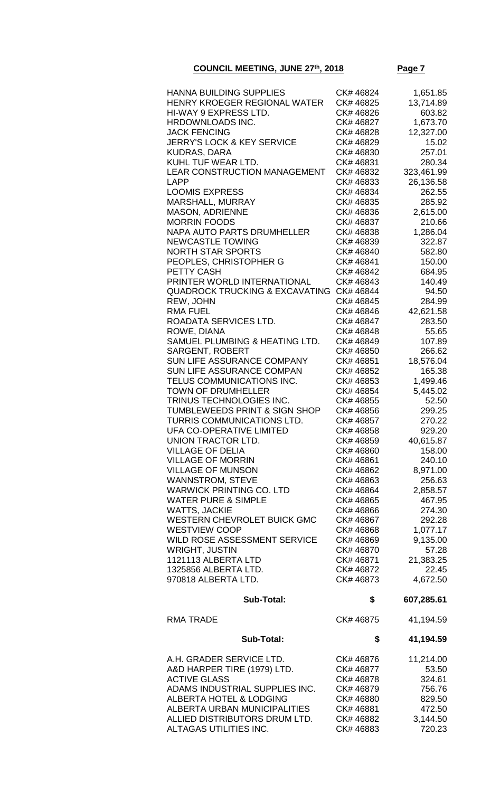| HANNA BUILDING SUPPLIES                   | CK# 46824 | 1,651.85   |
|-------------------------------------------|-----------|------------|
|                                           |           |            |
| HENRY KROEGER REGIONAL WATER              | CK# 46825 | 13,714.89  |
| HI-WAY 9 EXPRESS LTD.                     | CK# 46826 | 603.82     |
| HRDOWNLOADS INC.                          | CK# 46827 | 1,673.70   |
| <b>JACK FENCING</b>                       | CK# 46828 | 12,327.00  |
| <b>JERRY'S LOCK &amp; KEY SERVICE</b>     | CK# 46829 | 15.02      |
|                                           |           |            |
| <b>KUDRAS, DARA</b>                       | CK# 46830 | 257.01     |
| KUHL TUF WEAR LTD.                        | CK#46831  | 280.34     |
| LEAR CONSTRUCTION MANAGEMENT              | CK# 46832 | 323,461.99 |
| <b>LAPP</b>                               | CK# 46833 | 26,136.58  |
| <b>LOOMIS EXPRESS</b>                     |           |            |
|                                           | CK# 46834 | 262.55     |
| MARSHALL, MURRAY                          | CK# 46835 | 285.92     |
| <b>MASON, ADRIENNE</b>                    | CK# 46836 | 2,615.00   |
| <b>MORRIN FOODS</b>                       | CK# 46837 | 210.66     |
| <b>NAPA AUTO PARTS DRUMHELLER</b>         | CK# 46838 | 1,286.04   |
|                                           |           |            |
| <b>NEWCASTLE TOWING</b>                   | CK# 46839 | 322.87     |
| <b>NORTH STAR SPORTS</b>                  | CK# 46840 | 582.80     |
| PEOPLES, CHRISTOPHER G                    | CK# 46841 | 150.00     |
| PETTY CASH                                | CK# 46842 | 684.95     |
| PRINTER WORLD INTERNATIONAL               | CK# 46843 | 140.49     |
|                                           |           |            |
| <b>QUADROCK TRUCKING &amp; EXCAVATING</b> | CK# 46844 | 94.50      |
| REW, JOHN                                 | CK# 46845 | 284.99     |
| <b>RMA FUEL</b>                           | CK# 46846 | 42,621.58  |
| ROADATA SERVICES LTD.                     | CK# 46847 | 283.50     |
| ROWE, DIANA                               | CK# 46848 | 55.65      |
| SAMUEL PLUMBING & HEATING LTD.            |           |            |
|                                           | CK# 46849 | 107.89     |
| <b>SARGENT, ROBERT</b>                    | CK# 46850 | 266.62     |
| SUN LIFE ASSURANCE COMPANY                | CK# 46851 | 18,576.04  |
| <b>SUN LIFE ASSURANCE COMPAN</b>          | CK# 46852 | 165.38     |
| TELUS COMMUNICATIONS INC.                 | CK# 46853 | 1,499.46   |
| TOWN OF DRUMHELLER                        | CK# 46854 | 5,445.02   |
| TRINUS TECHNOLOGIES INC.                  | CK# 46855 | 52.50      |
|                                           |           |            |
| <b>TUMBLEWEEDS PRINT &amp; SIGN SHOP</b>  | CK# 46856 | 299.25     |
| <b>TURRIS COMMUNICATIONS LTD.</b>         | CK# 46857 | 270.22     |
| UFA CO-OPERATIVE LIMITED                  | CK# 46858 | 929.20     |
| UNION TRACTOR LTD.                        | CK# 46859 | 40,615.87  |
| <b>VILLAGE OF DELIA</b>                   |           | 158.00     |
|                                           | CK# 46860 |            |
| <b>VILLAGE OF MORRIN</b>                  | CK# 46861 | 240.10     |
| <b>VILLAGE OF MUNSON</b>                  | CK# 46862 | 8,971.00   |
| <b>WANNSTROM, STEVE</b>                   | CK# 46863 | 256.63     |
| <b>WARWICK PRINTING CO. LTD</b>           | CK# 46864 | 2,858.57   |
| <b>WATER PURE &amp; SIMPLE</b>            | CK# 46865 | 467.95     |
|                                           |           |            |
| <b>WATTS, JACKIE</b>                      | CK# 46866 | 274.30     |
| <b>WESTERN CHEVROLET BUICK GMC</b>        | CK# 46867 | 292.28     |
| <b>WESTVIEW COOP</b>                      | CK# 46868 | 1,077.17   |
| WILD ROSE ASSESSMENT SERVICE              | CK# 46869 | 9,135.00   |
| <b>WRIGHT, JUSTIN</b>                     | CK# 46870 | 57.28      |
|                                           |           |            |
| 1121113 ALBERTA LTD                       | CK# 46871 | 21,383.25  |
| 1325856 ALBERTA LTD.                      | CK# 46872 | 22.45      |
| 970818 ALBERTA LTD.                       | CK# 46873 | 4,672.50   |
|                                           |           |            |
| <b>Sub-Total:</b>                         | \$        | 607,285.61 |
| <b>RMA TRADE</b>                          | CK# 46875 | 41,194.59  |
|                                           |           |            |
| <b>Sub-Total:</b>                         | \$        | 41,194.59  |
|                                           |           |            |
| A.H. GRADER SERVICE LTD.                  | CK# 46876 | 11,214.00  |
| A&D HARPER TIRE (1979) LTD.               | CK# 46877 | 53.50      |
| <b>ACTIVE GLASS</b>                       | CK# 46878 | 324.61     |
| ADAMS INDUSTRIAL SUPPLIES INC.            | CK# 46879 | 756.76     |
| <b>ALBERTA HOTEL &amp; LODGING</b>        | CK# 46880 | 829.50     |
| ALBERTA URBAN MUNICIPALITIES              | CK# 46881 | 472.50     |
|                                           |           |            |
| ALLIED DISTRIBUTORS DRUM LTD.             | CK# 46882 | 3,144.50   |
| ALTAGAS UTILITIES INC.                    | CK# 46883 | 720.23     |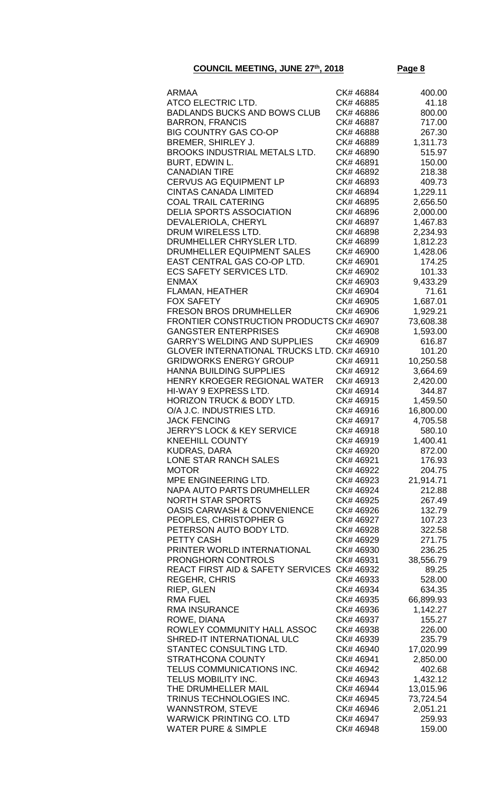| <b>ARMAA</b>                                              | CK# 46884              | 400.00           |
|-----------------------------------------------------------|------------------------|------------------|
| ATCO ELECTRIC LTD.                                        | CK# 46885              | 41.18            |
| <b>BADLANDS BUCKS AND BOWS CLUB</b>                       | CK# 46886              | 800.00           |
| <b>BARRON, FRANCIS</b>                                    | CK# 46887              | 717.00           |
| <b>BIG COUNTRY GAS CO-OP</b>                              | CK# 46888              | 267.30           |
| BREMER, SHIRLEY J.                                        | CK# 46889              | 1,311.73         |
| BROOKS INDUSTRIAL METALS LTD.                             | CK# 46890              | 515.97           |
| BURT, EDWIN L.                                            | CK# 46891              | 150.00           |
| <b>CANADIAN TIRE</b>                                      | CK# 46892              | 218.38           |
| <b>CERVUS AG EQUIPMENT LP</b>                             | CK# 46893              | 409.73           |
| <b>CINTAS CANADA LIMITED</b>                              | CK# 46894              | 1,229.11         |
| <b>COAL TRAIL CATERING</b>                                | CK# 46895              | 2,656.50         |
| <b>DELIA SPORTS ASSOCIATION</b>                           | CK# 46896              | 2,000.00         |
| DEVALERIOLA, CHERYL                                       | CK# 46897              | 1,467.83         |
| DRUM WIRELESS LTD.                                        | CK# 46898              | 2,234.93         |
| DRUMHELLER CHRYSLER LTD.                                  | CK# 46899              | 1,812.23         |
| DRUMHELLER EQUIPMENT SALES<br>EAST CENTRAL GAS CO-OP LTD. | CK# 46900<br>CK# 46901 | 1,428.06         |
| <b>ECS SAFETY SERVICES LTD.</b>                           | CK# 46902              | 174.25<br>101.33 |
| <b>ENMAX</b>                                              | CK# 46903              | 9,433.29         |
| <b>FLAMAN, HEATHER</b>                                    | CK# 46904              | 71.61            |
| <b>FOX SAFETY</b>                                         | CK# 46905              | 1,687.01         |
| <b>FRESON BROS DRUMHELLER</b>                             | CK# 46906              | 1,929.21         |
| <b>FRONTIER CONSTRUCTION PRODUCTS CK# 46907</b>           |                        | 73,608.38        |
| <b>GANGSTER ENTERPRISES</b>                               | CK# 46908              | 1,593.00         |
| <b>GARRY'S WELDING AND SUPPLIES</b>                       | CK# 46909              | 616.87           |
| GLOVER INTERNATIONAL TRUCKS LTD. CK# 46910                |                        | 101.20           |
| <b>GRIDWORKS ENERGY GROUP</b>                             | CK# 46911              | 10,250.58        |
| <b>HANNA BUILDING SUPPLIES</b>                            | CK# 46912              | 3,664.69         |
| HENRY KROEGER REGIONAL WATER                              | CK#46913               | 2,420.00         |
| HI-WAY 9 EXPRESS LTD.                                     | CK# 46914              | 344.87           |
| <b>HORIZON TRUCK &amp; BODY LTD.</b>                      | CK#46915               | 1,459.50         |
| O/A J.C. INDUSTRIES LTD.                                  | CK# 46916              | 16,800.00        |
| <b>JACK FENCING</b>                                       | CK# 46917              | 4,705.58         |
| <b>JERRY'S LOCK &amp; KEY SERVICE</b>                     | CK# 46918              | 580.10           |
| <b>KNEEHILL COUNTY</b>                                    | CK# 46919              | 1,400.41         |
| <b>KUDRAS, DARA</b>                                       | CK# 46920              | 872.00           |
| LONE STAR RANCH SALES                                     | CK# 46921              | 176.93           |
| <b>MOTOR</b>                                              | CK# 46922              | 204.75           |
| MPE ENGINEERING LTD.                                      | CK# 46923              | 21,914.71        |
| NAPA AUTO PARTS DRUMHELLER<br><b>NORTH STAR SPORTS</b>    | CK# 46924              | 212.88           |
| <b>OASIS CARWASH &amp; CONVENIENCE</b>                    | CK# 46925<br>CK# 46926 | 267.49           |
| PEOPLES, CHRISTOPHER G                                    | CK# 46927              | 132.79<br>107.23 |
| PETERSON AUTO BODY LTD.                                   | CK# 46928              | 322.58           |
| PETTY CASH                                                | CK# 46929              | 271.75           |
| PRINTER WORLD INTERNATIONAL                               | CK# 46930              | 236.25           |
| <b>PRONGHORN CONTROLS</b>                                 | CK# 46931              | 38,556.79        |
| REACT FIRST AID & SAFETY SERVICES CK# 46932               |                        | 89.25            |
| <b>REGEHR, CHRIS</b>                                      | CK# 46933              | 528.00           |
| RIEP, GLEN                                                | CK# 46934              | 634.35           |
| <b>RMA FUEL</b>                                           | CK# 46935              | 66,899.93        |
| <b>RMA INSURANCE</b>                                      | CK# 46936              | 1,142.27         |
| ROWE, DIANA                                               | CK# 46937              | 155.27           |
| ROWLEY COMMUNITY HALL ASSOC                               | CK# 46938              | 226.00           |
| SHRED-IT INTERNATIONAL ULC                                | CK# 46939              | 235.79           |
| STANTEC CONSULTING LTD.                                   | CK# 46940              | 17,020.99        |
| <b>STRATHCONA COUNTY</b>                                  | CK# 46941              | 2,850.00         |
| TELUS COMMUNICATIONS INC.                                 | CK# 46942              | 402.68           |
| TELUS MOBILITY INC.                                       | CK# 46943              | 1,432.12         |
| THE DRUMHELLER MAIL                                       | CK# 46944              | 13,015.96        |
| TRINUS TECHNOLOGIES INC.                                  | CK# 46945              | 73,724.54        |
| <b>WANNSTROM, STEVE</b>                                   | CK# 46946              | 2,051.21         |
| <b>WARWICK PRINTING CO. LTD</b>                           | CK# 46947              | 259.93           |
| <b>WATER PURE &amp; SIMPLE</b>                            | CK# 46948              | 159.00           |